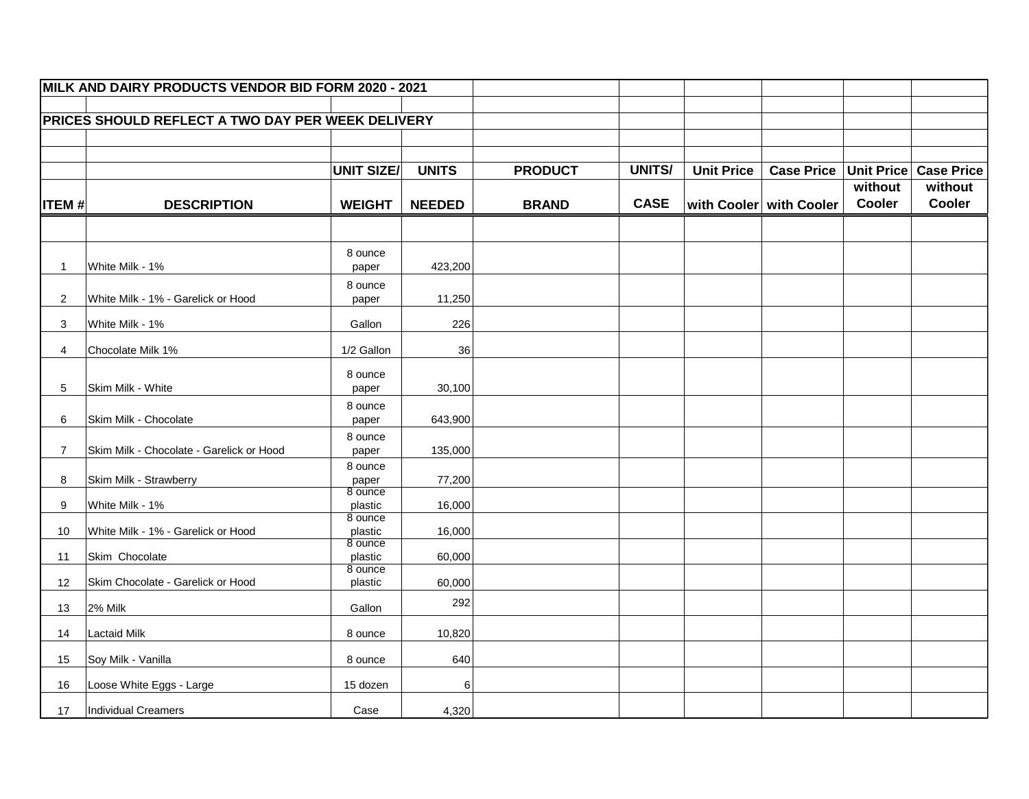| MILK AND DAIRY PRODUCTS VENDOR BID FORM 2020 - 2021      |                                          |                    |               |                |               |                   |                         |                          |                       |
|----------------------------------------------------------|------------------------------------------|--------------------|---------------|----------------|---------------|-------------------|-------------------------|--------------------------|-----------------------|
| <b>PRICES SHOULD REFLECT A TWO DAY PER WEEK DELIVERY</b> |                                          |                    |               |                |               |                   |                         |                          |                       |
|                                                          |                                          |                    |               |                |               |                   |                         |                          |                       |
|                                                          |                                          |                    |               |                |               |                   |                         |                          |                       |
|                                                          |                                          | <b>UNIT SIZE/</b>  | <b>UNITS</b>  | <b>PRODUCT</b> | <b>UNITS/</b> | <b>Unit Price</b> | <b>Case Price</b>       |                          | Unit Price Case Price |
|                                                          |                                          |                    |               |                | <b>CASE</b>   |                   |                         | without<br><b>Cooler</b> | without<br>Cooler     |
| <b>ITEM#</b>                                             | <b>DESCRIPTION</b>                       | <b>WEIGHT</b>      | <b>NEEDED</b> | <b>BRAND</b>   |               |                   | with Cooler with Cooler |                          |                       |
|                                                          |                                          |                    |               |                |               |                   |                         |                          |                       |
|                                                          |                                          | 8 ounce            |               |                |               |                   |                         |                          |                       |
| -1                                                       | White Milk - 1%                          | paper              | 423,200       |                |               |                   |                         |                          |                       |
| $\mathbf{2}^{\prime}$                                    | White Milk - 1% - Garelick or Hood       | 8 ounce<br>paper   | 11,250        |                |               |                   |                         |                          |                       |
| 3                                                        | White Milk - 1%                          | Gallon             | 226           |                |               |                   |                         |                          |                       |
| 4                                                        | Chocolate Milk 1%                        | 1/2 Gallon         | 36            |                |               |                   |                         |                          |                       |
|                                                          |                                          | 8 ounce            |               |                |               |                   |                         |                          |                       |
| 5                                                        | Skim Milk - White                        | paper              | 30,100        |                |               |                   |                         |                          |                       |
| 6                                                        | Skim Milk - Chocolate                    | 8 ounce<br>paper   | 643,900       |                |               |                   |                         |                          |                       |
|                                                          |                                          | 8 ounce            |               |                |               |                   |                         |                          |                       |
| $\overline{7}$                                           | Skim Milk - Chocolate - Garelick or Hood | paper              | 135,000       |                |               |                   |                         |                          |                       |
| 8                                                        | Skim Milk - Strawberry                   | 8 ounce<br>paper   | 77,200        |                |               |                   |                         |                          |                       |
| 9                                                        | White Milk - 1%                          | 8 ounce<br>plastic | 16,000        |                |               |                   |                         |                          |                       |
| 10                                                       | White Milk - 1% - Garelick or Hood       | 8 ounce<br>plastic | 16,000        |                |               |                   |                         |                          |                       |
| 11                                                       | Skim Chocolate                           | 8 ounce<br>plastic | 60,000        |                |               |                   |                         |                          |                       |
| 12                                                       | Skim Chocolate - Garelick or Hood        | 8 ounce<br>plastic | 60,000        |                |               |                   |                         |                          |                       |
| 13                                                       | $2%$ Milk                                | Gallon             | 292           |                |               |                   |                         |                          |                       |
| 14                                                       | Lactaid Milk                             | 8 ounce            | 10,820        |                |               |                   |                         |                          |                       |
| 15                                                       | Soy Milk - Vanilla                       | 8 ounce            | 640           |                |               |                   |                         |                          |                       |
| 16                                                       | Loose White Eggs - Large                 | 15 dozen           | 6             |                |               |                   |                         |                          |                       |
| 17                                                       | Individual Creamers                      | Case               | 4,320         |                |               |                   |                         |                          |                       |